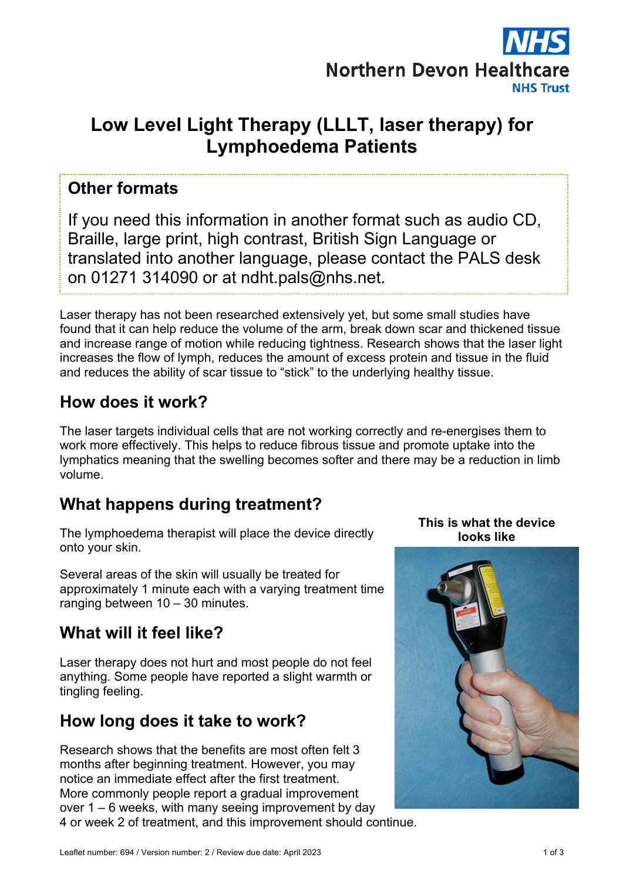

# **Low Level Light Therapy (LLLT, laser therapy) for Lymphoedema Patients**

#### **Other formats**

If you need this information in another format such as audio CD, Braille, large print, high contrast, British Sign Language or translated into another language, please contact the PALS desk on 01271 314090 or at ndht.pals@nhs.net.

Laser therapy has not been researched extensively yet, but some small studies have found that it can help reduce the volume of the arm, break down scar and thickened tissue and increase range of motion while reducing tightness. Research shows that the laser light increases the flow of lymph, reduces the amount of excess protein and tissue in the fluid and reduces the ability of scar tissue to "stick" to the underlying healthy tissue.

# **How does it work?**

The laser targets individual cells that are not working correctly and re-energises them to work more effectively. This helps to reduce fibrous tissue and promote uptake into the lymphatics meaning that the swelling becomes softer and there may be a reduction in limb volume.

# **What happens during treatment?**

The lymphoedema therapist will place the device directly onto your skin.

Several areas of the skin will usually be treated for approximately 1 minute each with a varying treatment time ranging between 10 – 30 minutes.

# **What will it feel like?**

Laser therapy does not hurt and most people do not feel anything. Some people have reported a slight warmth or tingling feeling.

### **How long does it take to work?**

Research shows that the benefits are most often felt 3 months after beginning treatment. However, you may notice an immediate effect after the first treatment. More commonly people report a gradual improvement over 1 – 6 weeks, with many seeing improvement by day 4 or week 2 of treatment, and this improvement should continue.

**This is what the device looks like**

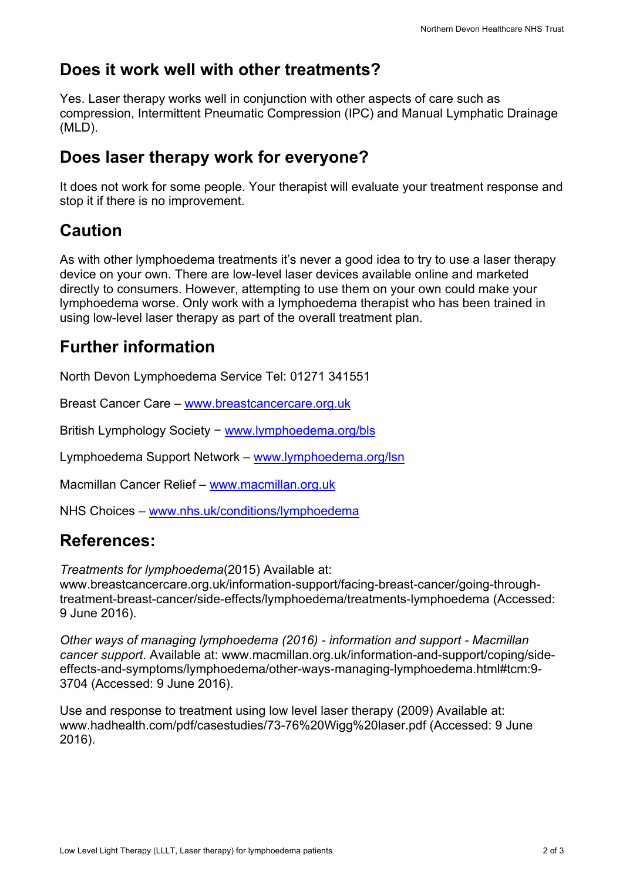# **Does it work well with other treatments?**

Yes. Laser therapy works well in conjunction with other aspects of care such as compression, Intermittent Pneumatic Compression (IPC) and Manual Lymphatic Drainage (MLD).

### **Does laser therapy work for everyone?**

It does not work for some people. Your therapist will evaluate your treatment response and stop it if there is no improvement.

# **Caution**

As with other lymphoedema treatments it's never a good idea to try to use a laser therapy device on your own. There are low-level laser devices available online and marketed directly to consumers. However, attempting to use them on your own could make your lymphoedema worse. Only work with a lymphoedema therapist who has been trained in using low-level laser therapy as part of the overall treatment plan.

# **Further information**

North Devon Lymphoedema Service Tel: 01271 341551

Breast Cancer Care – www.breastcancercare.org.uk

British Lymphology Society − www.lymphoedema.org/bls

Lymphoedema Support Network – www.lymphoedema.org/lsn

Macmillan Cancer Relief – www.macmillan.org.uk

NHS Choices – www.nhs.uk/conditions/lymphoedema

# **References:**

*Treatments for lymphoedema*(2015) Available at:

www.breastcancercare.org.uk/information-support/facing-breast-cancer/going-throughtreatment-breast-cancer/side-effects/lymphoedema/treatments-lymphoedema (Accessed: 9 June 2016).

*Other ways of managing lymphoedema (2016) - information and support - Macmillan cancer support*. Available at: www.macmillan.org.uk/information-and-support/coping/sideeffects-and-symptoms/lymphoedema/other-ways-managing-lymphoedema.html#tcm:9- 3704 (Accessed: 9 June 2016).

Use and response to treatment using low level laser therapy (2009) Available at: www.hadhealth.com/pdf/casestudies/73-76%20Wigg%20laser.pdf (Accessed: 9 June 2016).